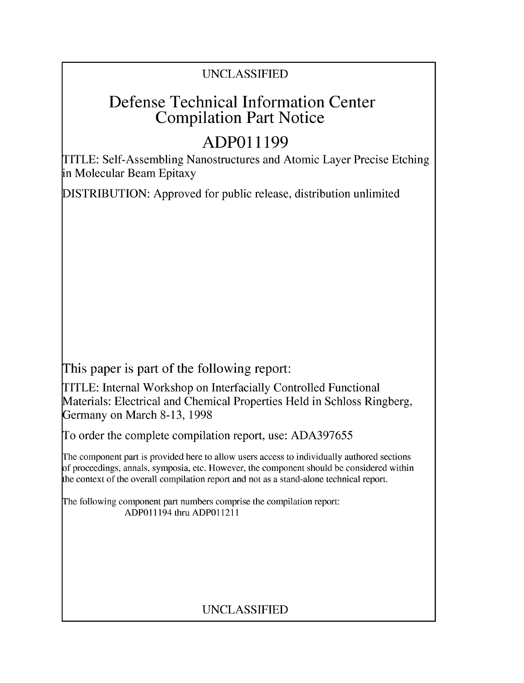## UNCLASSIFIED

# Defense Technical Information Center Compilation Part Notice

# **ADPO11199**

TITLE: Self-Assembling Nanostructures and Atomic Layer Precise Etching in Molecular Beam Epitaxy

DISTRIBUTION: Approved for public release, distribution unlimited

This paper is part of the following report:

TITLE: Internal Workshop on Interfacially Controlled Functional Materials: Electrical and Chemical Properties Held in Schloss Ringberg, Germany on March 8-13, 1998

To order the complete compilation report, use: ADA397655

The component part is provided here to allow users access to individually authored sections f proceedings, annals, symposia, etc. However, the component should be considered within [he context of the overall compilation report and not as a stand-alone technical report.

The following component part numbers comprise the compilation report: ADPO11194 thru ADP011211

## UNCLASSIFIED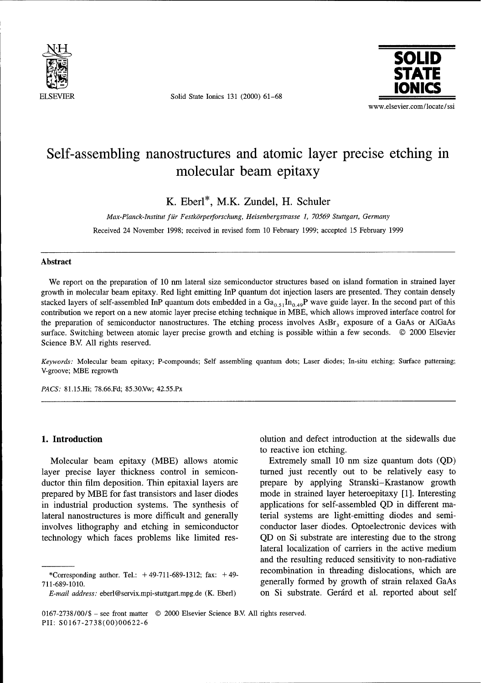

ELSEVIER Solid State Ionics 131 (2000) 61-68



# Self-assembling nanostructures and atomic layer precise etching in Self-assembling nanostructures and atomic layer precise etching in<br>molecular beam epitaxy

K. Eberl\*, M.K. Zundel, H. Schuler

Max-Planck-Institut für Festkörperforschung, Heisenbergstrasse 1, 70569 Stuttgart, Germany Received 24 November 1998; received in revised form 10 February 1999; accepted 15 February 1999

### Abstract

We report on the preparation of 10 nm lateral size semiconductor structures based on island formation in strained layer we report on the preparation of 10 nm tateral size semiconductor structures based on island formation in strained layer growth in molecular beam epitaxy. Red light emitting InP quantum dot injection lasers are presented. They contain densely stacked layers of self-assembled InP quantum dots embedded in a  $Ga_{0.51}In_{0.49}$ P wave guide layer. In the second part of this contribution we report on a new atomic layer precise etching technique in MBE, which allows improved interface control for the preparation of semiconductor nanostructures. The etching process involves  $\text{AsBr}_3$  exposure of a GaAs or AlGaAs surface. Switching between atomic layer precise growth and etching is possible within a few seconds. © 2000 Elsevier Science B.V. All rights reserved.

 $\alpha$ eywords; Moleculai be

PACS: 81.15.Hi; 78.66.Fd; 85.30.Vw; 42.55.Px

Molecular beam epitaxy (MBE) allows atomic<br>
yer precise layer thickness control in semicon-<br>
urned just recently out to be relatively easy to layer precise layer thickness control in semicon-<br>ductor thin film deposition. Thin epitaxial layers are prepare by applying Stranski-Krastanow growth ductor thin film deposition. Thin epitaxial layers are express to applying Stranski–Krastanow growth prepared by MBE for fast transistors and laser diodes mode in strained layer heteroepitaxy [1]. Interesting prepared by MBE for fast transistors and laser diodes and the synthesis of applications for self-assembled QD in different ma-<br>in industrial production systems. The synthesis of applications for self-assembled QD in differ in industrial production systems. The synthesis of applications for self-assembled QD in different ma-<br>lateral nanostructures is more difficult and generally terial systems are light-emitting diodes and semilateral nanostructures is more difficult and generally terial systems are light-emitting diodes and semi-<br>involves lithography and etching in semiconductor conductor laser diodes. Optoelectronic devices with involves lithography and etching in semiconductor technology which faces problems like limited res-

1. Introduction olution and defect introduction at the sidewalls due olution and defect introduction at the sidewalls due to reactive ion etching.<br>Extremely small 10 nm size quantum dots (QD)

QD on Si substrate are interesting due to the strong lateral localization of carriers in the active medium and the resulting reduced sensitivity to non-radiative recombination in threading dislocations, which are  $\overline{\text{``Corresponding author. Tel.: +49-711-689-1312; fax: +49-}}$  recombination in threading dislocations, which are T11-689-1010.<br>
E-mail address: eberl@servix.mpi-stuttgart.mpg.de (K. Eberl) on Si substrate. Gerárd et al. reported about self

E-mail address: eberl@servix.mpi-stuttgart.mpg.de (K. Eberl)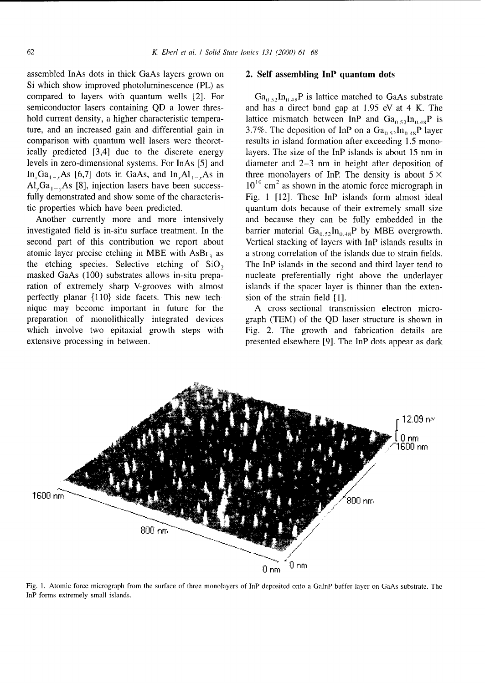assembled InAs dots in thick GaAs layers grown on 2. Self assembling InP quantum dots Si which show improved photoluminescence (PL) as compared to layers with quantum wells [2]. For  $Ga_{0.5}$ ,  $In_{0.48}P$  is lattice matched to GaAs substrate semiconductor lasers containing QD a lower thres- and has a direct band gap at 1.95 eV at 4 K. The hold current density, a higher characteristic tempera- lattice mismatch between InP and  $Ga_{0.5}In_{0.48}P$  is ture, and an increased gain and differential gain in 3.7%. The deposition of InP on a  $Ga_{0.52}In_{0.48}P$  layer comparison with quantum well lasers were theoret-<br>results in island formation after exceeding 1.5 monoically predicted [3,4] due to the discrete energy layers. The size of the InP islands is about 15 nm in levels in zero-dimensional systems. For InAs [5] and diameter and 2-3 nm in height after deposition of In Ga<sub>1</sub>, As [6,7] dots in GaAs, and In, Al<sub>1</sub>, As in three monolayers of InP. The density is about  $5 \times$  $Al_{v}Ga_{1-v}As$  [8], injection lasers have been success- **10<sup>10</sup>** cm<sup>2</sup> as shown in the atomic force micrograph in fully demonstrated and show some of the characteris-<br>Fig. 1 [12]. These InP islands form almost ideal tic properties which have been predicted. quantum dots because of their extremely small size

investigated field is in-situ surface treatment. In the barrier material  $Ga_{0.52}In_{0.48}P$  by MBE overgrowth. second part of this contribution we report about Vertical stacking of layers with InP islands results in atomic layer precise etching in MBE with  $\text{ASBr}_3$  as a strong correlation of the islands due to strain fields. the etching species. Selective etching of SiO, The InP islands in the second and third layer tend to masked GaAs (100) substrates allows in-situ prepa- nucleate preferentially right above the underlayer ration of extremely sharp V-grooves with almost islands if the spacer layer is thinner than the extenperfectly planar  $\{110\}$  side facets. This new tech- sion of the strain field [1]. nique may become important in future for the A cross-sectional transmission electron micropreparation of monolithically integrated devices graph (TEM) of the QD laser structure is shown in which involve two epitaxial growth steps with Fig. 2. The growth and fabrication details are extensive processing in between. presented elsewhere [9]. The InP dots appear as dark

Another currently more and more intensively and because they can be fully embedded in the



Fig. **1.** Atomic force micrograph from the surface of three monolayers of InP deposited onto a GalnP buffer layer on GaAs substrate. The InP forms extremely small islands.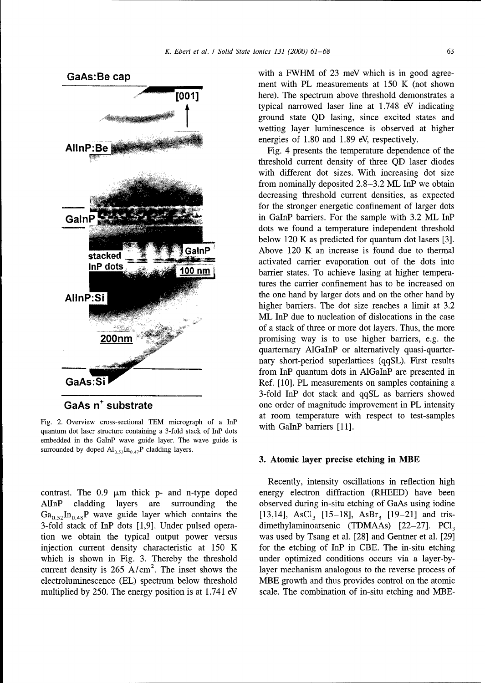

Fig. 2. Overview cross-sectional TEM micrograph of a InP with GaInP barriers  $[11]$ . quantum dot laser structure containing a 3-fold stack of InP dots embedded in the GaInP wave guide layer. The wave guide is surrounded by doped  $Al_{0.53}$ In<sub>0.47</sub>P cladding layers.

AlInP cladding layers are surrounding the observed during in-situ etching of GaAs using iodine  $Ga_{0.52}$ In<sub>0.48</sub>P wave guide layer which contains the [13,14], AsCl<sub>3</sub> [15-18], AsBr<sub>3</sub> [19-21] and tris-3-fold stack of InP dots [1,9]. Under pulsed opera- dimethylaminoarsenic (TDMAAs)  $[22-27]$ . PCl<sub>3</sub> tion we obtain the typical output power versus was used by Tsang et al. [28] and Gentner et al. [29] injection current density characteristic at  $150 \text{ K}$  for the etching of InP in CBE. The in-situ etching which is shown in Fig. 3. Thereby the threshold under optimized conditions occurs via a layer-bycurrent density is 265  $A/cm<sup>2</sup>$ . The inset shows the layer mechanism analogous to the reverse process of electroluminescence (EL) spectrum below threshold MBE growth and thus provides control on the atomic multiplied by 250. The energy position is at 1.741 eV scale. The combination of in-situ etching and MBE-

GaAs: Be cap with a FWHM of 23 meV which is in good agreement with PL measurements at 150 K (not shown **[001]** here). The spectrum above threshold demonstrates a typical narrowed laser line at 1.748 eV indicating ground state QD lasing, since excited states and wetting layer luminescence is observed at higher energies of 1.80 and 1.89 eV, respectively.

threshold current density of three QD laser diodes with different dot sizes. With increasing dot size from nominally deposited 2.8-3.2 ML InP we obtain decreasing threshold current densities, as expected for the stronger energetic confinement of larger dots GalnP  $\sim$  6.2 ML InP barriers. For the sample with 3.2 ML InP dots we found a temperature independent threshold below 120 K as predicted for quantum dot lasers [3]. Above  $120$  K an increase is found due to thermal activated carrier evaporation out of the dots into **100 nm** barrier states. To achieve lasing at higher temperatures the carrier confinement has to be increased on AllnP:Si higher barriers. The dot size reaches a limit at 3.2 ML InP due to nucleation of dislocations in the case of a stack of three or more dot layers. Thus, the more **200nm Example 200nm** promising way is to use higher barriers, e.g. the quarternary AlGalnP or alternatively quasi-quarter nary short-period superlattices (qqSL). First results from InP quantum dots in AlGaInP are presented in GaAs:Si 3-fold InP dot stack and qqSL as barriers showed GaAs n<sup>+</sup> substrate one order of magnitude improvement in PL intensity<br>at room temperature with respect to test-samples

### **3.** Atomic layer precise etching in MBE

Recently, intensity oscillations in reflection high contrast. The  $0.9 \mu m$  thick p- and n-type doped energy electron diffraction (RHEED) have been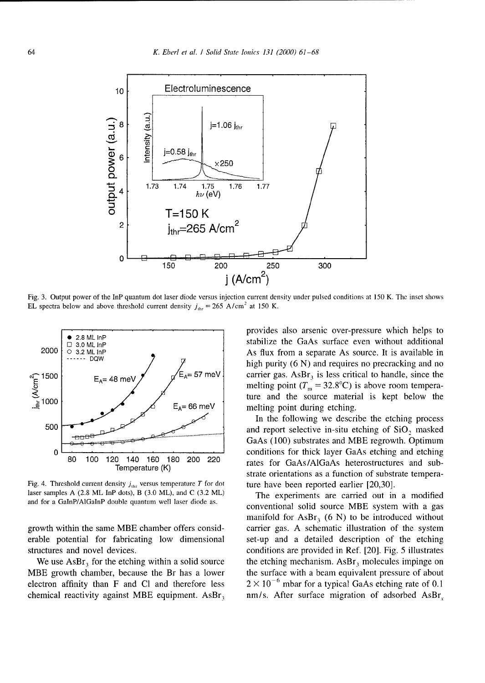

Fig. 3. Output power of the InP quantum dot laser diode versus injection current density under pulsed conditions at 150 K. The inset shows EL spectra below and above threshold current density  $j_{\text{thr}} = 265 \text{ A/cm}^2$  at 150 K.



Fig. 4. Threshold current density  $j_{\text{thr}}$  versus temperature T for dot ture have been reported earlier [20,30]. laser samples A (2.8 ML InP dots), B (3.0 ML), and C (3.2 ML) The experiments are carried out in a modified

erable potential for fabricating low dimensional set-up and a detailed description of the etching structures and novel devices. The conditions are provided in Ref. [20]. Fig. 5 illustrates

electron affinity than F and Cl and therefore less  $2 \times 10^{-6}$  mbar for a typical GaAs etching rate of 0.1

provides also arsenic over-pressure which helps to 2.8 ML InP<br>3.0 ML InP stabilize the GaAs surface even without additional 2000  $\frac{3.8 \text{ NL} \cdot \text{m}}{2.3 \text{ NL} \cdot \text{m}}$  As flux from a separate As source. It is available in  $\overline{P}$   $\overline{P}$   $\overline{P}$  high purity (6 N) and requires no precracking and no  $E_A = 66 \text{ meV}$  ture and the source material is kept below the  $E_A = 66 \text{ meV}$ 

In the following we describe the etching process 500 **and report selective in-situ etching of SiO**, masked GaAs (100) substrates and MBE regrowth. Optimum 0 **conditions for thick layer GaAs etching and etching** 80 100 120 140 160 180 200 220 rates for GaAs/AlGaAs heterostructures and sub- $\sigma$  140 160 180 200 220 rates for GaAs/AlGaAs heterostructures and sub-<br>Temperature (K) strate orientations as a function of substrate tempera-

and for a GaInP/AlGaInP double quantum well laser diode as.<br>
conventional solid source MBE system with a gas manifold for AsBr<sub>3</sub> (6 N) to be introduced without growth within the same MBE chamber offers consid- carrier gas. A schematic illustration of the system We use AsBr<sub>3</sub> for the etching within a solid source the etching mechanism. AsBr<sub>3</sub> molecules impinge on MBE growth chamber, because the Br has a lower the surface with a beam equivalent pressure of about chemical reactivity against MBE equipment.  $\text{ASBr}_3$  nm/s. After surface migration of adsorbed  $\text{ASBr}_4$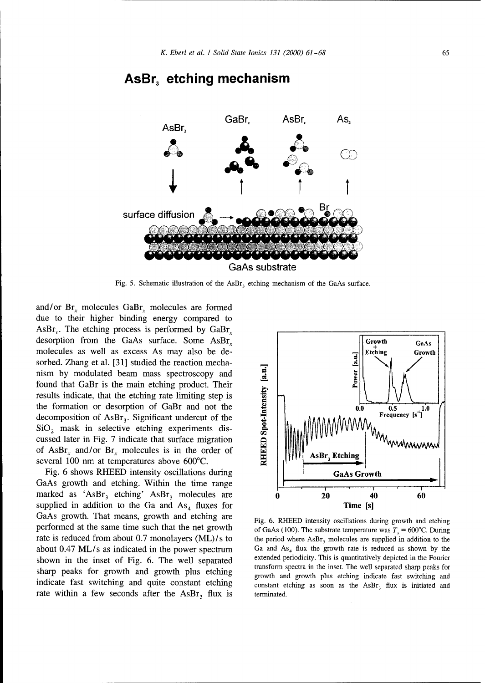

## AsBr, etching mechanism

Fig. 5. Schematic illustration of the AsBr<sub>3</sub> etching mechanism of the GaAs surface.

and/or Br. molecules GaBr. molecules are formed due to their higher binding energy compared to AsBr<sub>x</sub>. The etching process is performed by  $GaBr<sub>x</sub>$ desorption from the GaAs surface. Some  $\text{ASBr}_x$  | Growth GaAs molecules as well as excess As may also be de-<br>sorbed. Zhang et al. [31] studied the reaction mechasorbed. Zhang et al. [31] studied the reaction mecha-<br>nism by modulated beam mass spectroscopy and<br>found that GaBr is the main etching product. Their<br>results indicate, that the etching rate limiting step is<br>the formation nism by modulated beam mass spectroscopy and \_. found that GaBr is the main etching product. Their results indicate, that the etching rate limiting step is the formation or desorption of GaBr and not the **2 0.0 0.5 1** decomposition of AsBr<sub>3</sub>. Significant undercut of the  $SiO<sub>2</sub>$  mask in selective etching experiments discussed later in Fig. 7 indicate that surface migration of AsBr<sub>r</sub> and/or Br<sub>r</sub> molecules is in the order of several 100 nm at temperatures above 600'C. **ON**

Fig. 6 shows RHEED intensity oscillations during Fig. 6 shows RHEED intensity oscillations during GaAs growth and etching. Within the time range marked as 'AsBr<sub>3</sub> etching' AsBr<sub>3</sub> molecules are **0 20 40 60** supplied in addition to the Ga and  $As_4$  fluxes for Time [s] GaAs growth. That means, growth and etching are Fig. 6. RHEED intensity oscillations during growth and etching performed at the same time such that the net growth of GaAs (100). The substrate temperature was  $T_s = 600^{\circ}$ C. During rate is reduced from about 0.7 monolayers  $(ML)/s$  to the period where AsBr<sub>3</sub> molecules are supplied in addition to the about 0.47 ML/s as indicated in the power spectrum Ga and  $As_4$  flux the growth rate is reduced as shown by the shown in the inset of Fig. 6. The well separated extended periodicity. This is quantitatively depicted in the shown in the inset of Fig. 6. The well separated extended periodicity. This is quantitatively depicted in the Fourier<br>transform spectra in the inset. The well separated sharp peaks for transform spectra in the inset. The well separated sharp peaks for growth and growth plus etching indicate fast switching and indicate fast switching and quite constant etching  $\frac{1}{2}$  constant etching as soon as the AsBr<sub>3</sub> flux is initiated and rate within a few seconds after the  $\text{AsBr}_3$  flux is terminated.

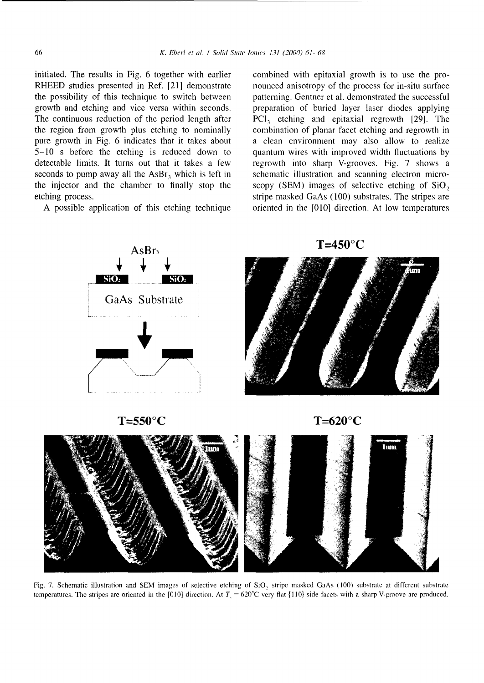initiated. The results in Fig. 6 together with earlier combined with epitaxial growth is to use the pro-RHEED studies presented in Ref. [21] demonstrate nounced anisotropy of the process for in-situ surface the possibility of this technique to switch between patterning. Gentner et al. demonstrated the successful growth and etching and vice versa within seconds. preparation of buried layer laser diodes applying The continuous reduction of the period length after  $PCI<sub>3</sub>$  etching and epitaxial regrowth [29]. The the region from growth plus etching to nominally combination of planar facet etching and regrowth in pure growth in Fig. 6 indicates that it takes about a clean environment may also allow to realize 5-10 s before the etching is reduced down to quantum wires with improved width fluctuations by detectable limits. It turns out that it takes a few regrowth into sharp V-grooves. Fig. 7 shows a seconds to pump away all the  $\text{ASBr}_3$  which is left in schematic illustration and scanning electron microthe injector and the chamber to finally stop the scopy (SEM) images of selective etching of SiO, etching process. Stripe masked GaAs (100) substrates. The stripes are

A possible application of this etching technique oriented in the [010] direction. At low temperatures





Fig. 7. Schematic illustration and SEM images of selective etching of SiO, stripe masked GaAs (100) substrate at different substrate temperatures. The stripes are oriented in the [010] direction. At  $T_1 = 620^{\circ}\text{C}$  very flat {110} side facets with a sharp V-groove are produced.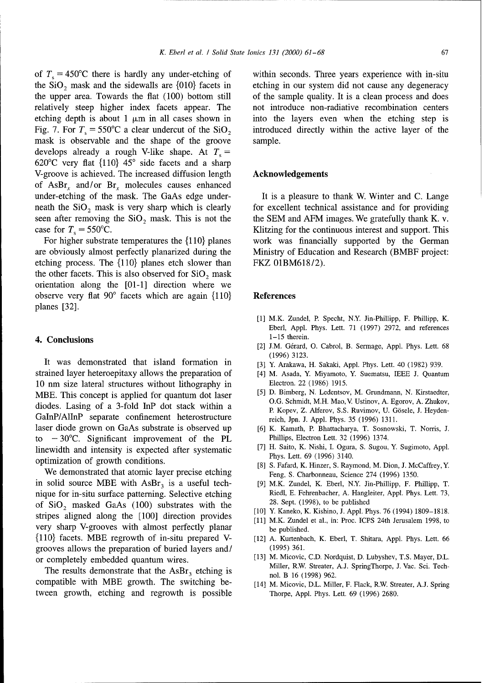mask is observable and the shape of the groove sample. develops already a rough V-like shape. At  $T<sub>s</sub>$  = 620°C very flat  $\{110\}$  45° side facets and a sharp V-groove is achieved. The increased diffusion length **Acknowledgements** of AsBr<sub>x</sub> and/or Br<sub>x</sub> molecules causes enhanced under-etching of the mask. The GaAs edge under- It is a pleasure to thank W. Winter and C. Lange

are obviously almost perfectly planarized during the Ministry of Education and Research (BMBF project: etching process. The {110} planes etch slower than FKZ 01BM618/2). the other facets. This is also observed for  $SiO<sub>2</sub>$  mask orientation along the [01-1] direction where we observe very flat 90° facets which are again  $\{110\}$  References planes [32].

It was demonstrated that island formation in  $[3]$  Y. Arakawa, H. Sakaki, Appl. Phys. Lett. 40 (1982) 939. strained layer heteroepitaxy allows the preparation of *[4]* M. Asada, Y. Miyamoto, Y. Suematsu, IEEE J. Quantum 10 nm size lateral structures without lithography in Electron. 22 (1986) 1915.<br>MBE This concent is applied for quantum dot laser [5] D. Bimberg, N. Ledentsov, M. Grundmann, N. Kirstaedter, MBE. This concept is applied for quantum dot laser diodes. Lasing of a 3-fold InP dot stack within a GaInP/AIInP separate confinement heterostructure reich, Jpn. J. Appl. Phys. 35 (1996) 1311. laser diode grown on GaAs substrate is observed up [6] K. Kamath, P. Bhattacharya, T. Sosnowski, T. Norris, **J.** to  $-30^{\circ}$ C. Significant improvement of the PL Phillips, Electron Lett. 32 (1996) 1374.<br>
linewidth and intensity is expected after systematic [7] H. Saito, K. Nishi, I. Ogura, S. Sugou, Y. Sugimoto, Appl. linewidth and intensity is expected after systematic  $\frac{1}{1}$  H. Saito, K. Nishi, I. Ogura, S. Sugimore, S. Sugimore, S. Sugimore, S. Sugimore, S. Sugimore, S. Sugimore, S. Sugimore, S. Sugimore, S. Sugimore, S. Sugimore optimization of growth conditions.<br>
[8] S. Fafard, K. Hinzer, S. Raymond, M. Dion, J. McCaffrey, Y.

We demonstrated that atomic layer precise etching Feng, S. Charbonneau, Science 274 (1996) 1350. in solid source MBE with  $\text{ASBr}_3$  is a useful tech- [9] M.K. Zundel, K. Eberl, N.Y. Jin-Phillipp, F. Phillipp, T. nique for in-situ surface patterning. Selective etching Riedl, E. Fehrenbacher, A. Hangleiter, Appl. Phys. Lett. 73, of  $\text{SiO}_2$  masked GaAs (100) substrates with the 28. Sept. (1998), to be published<br>
[10] Y. Kaneko, K. Kishino, J. Appl. Phys. 76 (1994) 1809–1818. stripes aligned along the [100] direction provides very sharp V-grooves with almost perfectly planar be published. {110} facets. MBE regrowth of in-situ prepared V- [12] A. Kurtenbach, K. Eberl, T. Shitara, Appl. Phys. Lett. 66 grooves allows the preparation of buried layers and/ (1995) 361.

The results demonstrate that the AsBr<sub>3</sub> etching is compatible with MBE growth. The switching be- [14] M. Micovic, D.L. Miller, F. Flack, R.W. Streater, A.J. Spring tween growth, etching and regrowth is possible Thorpe, Appl. Phys. Lett. 69 (1996) 2680.

of  $T_s = 450^{\circ}$ C there is hardly any under-etching of within seconds. Three years experience with in-situ the  $SiO<sub>2</sub>$  mask and the sidewalls are  $\{010\}$  facets in etching in our system did not cause any degeneracy the upper area. Towards the flat (100) bottom still of the sample quality. It is a clean process and does relatively steep higher index facets appear. The not introduce non-radiative recombination centers etching depth is about 1  $\mu$ m in all cases shown in into the layers even when the etching step is Fig. 7. For  $T_s = 550^{\circ}\text{C}$  a clear undercut of the SiO, introduced directly within the active layer of the

neath the SiO<sub>2</sub> mask is very sharp which is clearly for excellent technical assistance and for providing seen after removing the  $SiO<sub>2</sub>$  mask. This is not the the SEM and AFM images. We gratefully thank K. v. case for  $T_s = 550^{\circ}\text{C}$ . Klitzing for the continuous interest and support. This For higher substrate temperatures the {110} planes work was financially supported by the German

- [1] M.K. Zundel, P. Specht, N.Y. Jin-Phillipp, F. Phillipp, K. Eberl, Appl. Phys. Lett. 71 (1997) 2972, and references 4. Conclusions 1-15 therein.
	- [2] J.M. Gérard, O. Cabrol, B. Sermage, Appl. Phys. Lett. 68 (1996) 3123.
	-
	-
	- **O.G.** Schmidt, M.H. Mao, V. Ustinov, A. Egorov, A. Zhukov, P. Kopev, Z. Alferov, S.S. Ruvimov, U. G6sele, J. Heyden-
	-
	-
	-
	-
	-
	- [11] M.K. Zundel et al., in: Proc. ICPS 24th Jerusalem 1998, to
	-
- or completely embedded quantum wires. [13] M. Micovic, C.D. Nordquist, D. Lubyshev, T.S. Mayer, D.L.<br>Miller, R.W. Streater, A.J. SpringThorpe, J. Vac. Sci. Technol. B 16 (1998) 962.
	-